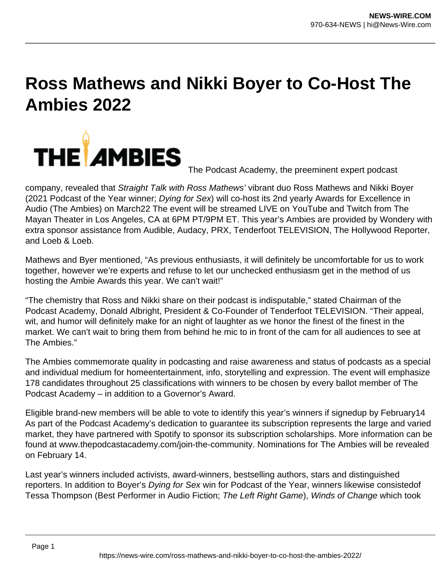## **Ross Mathews and Nikki Boyer to Co-Host The Ambies 2022**



The Podcast Academy, the preeminent expert podcast

company, revealed that Straight Talk with Ross Mathews' vibrant duo Ross Mathews and Nikki Boyer (2021 Podcast of the Year winner; Dying for Sex) will co-host its 2nd yearly Awards for Excellence in Audio (The Ambies) on March22 The event will be streamed LIVE on YouTube and Twitch from The Mayan Theater in Los Angeles, CA at 6PM PT/9PM ET. This year's Ambies are provided by Wondery with extra sponsor assistance from Audible, Audacy, PRX, Tenderfoot TELEVISION, The Hollywood Reporter, and Loeb & Loeb.

Mathews and Byer mentioned, "As previous enthusiasts, it will definitely be uncomfortable for us to work together, however we're experts and refuse to let our unchecked enthusiasm get in the method of us hosting the Ambie Awards this year. We can't wait!"

"The chemistry that Ross and Nikki share on their podcast is indisputable," stated Chairman of the Podcast Academy, Donald Albright, President & Co-Founder of Tenderfoot TELEVISION. "Their appeal, wit, and humor will definitely make for an night of laughter as we honor the finest of the finest in the market. We can't wait to bring them from behind he mic to in front of the cam for all audiences to see at The Ambies."

The Ambies commemorate quality in podcasting and raise awareness and status of podcasts as a special and individual medium for homeentertainment, info, storytelling and expression. The event will emphasize 178 candidates throughout 25 classifications with winners to be chosen by every ballot member of The Podcast Academy – in addition to a Governor's Award.

Eligible brand-new members will be able to vote to identify this year's winners if signedup by February14 As part of the Podcast Academy's dedication to guarantee its subscription represents the large and varied market, they have partnered with Spotify to sponsor its subscription scholarships. More information can be found at www.thepodcastacademy.com/join-the-community. Nominations for The Ambies will be revealed on February 14.

Last year's winners included activists, award-winners, bestselling authors, stars and distinguished reporters. In addition to Boyer's Dying for Sex win for Podcast of the Year, winners likewise consistedof Tessa Thompson (Best Performer in Audio Fiction; The Left Right Game), Winds of Change which took